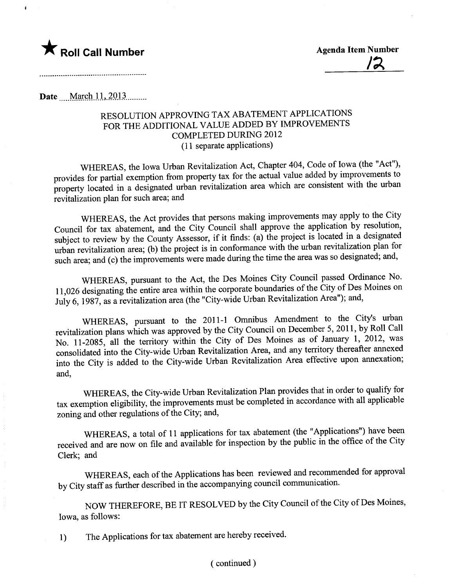

į

 $\frac{12}{12}$ 

Date **March 11, 2013** ........

## RESOLUTION APPROVING TAX ABATEMENT APPLICATIONS FOR THE ADDITIONAL VALUE ADDED BY IMPROVEMENTS COMPLETED DURING 2012 (11 separate applications)

WHEREAS, the Iowa Urban Revitalization Act, Chapter 404, Code of Iowa (the "Act"), provides for partial exemption from property tax for the actual value added by improvements to property located in a designated urban revitalization area which are consistent with the urban revitalization plan for such area; and

WHEREAS, the Act provides that persons making improvements may apply to the City Council for tax abatement, and the City Council shall approve the application by resolution, subject to review by the County Assessor, if it finds: (a) the project is located in a designated urban revitalization area; (b) the project is in conformance with the urban revitalization plan for such area; and (c) the improvements were made during the time the area was so designated; and,

WHEREAS, pursuant to the Act, the Des Moines City Council passed Ordinance No. 11,026 designating the entire area within the corporate boundaries of the City of Des Moines on July 6, 1987, as a revitalization area (the "City-wide Urban Revitalization Area"); and,

WHEREAS, pursuant to the 2011-1 Omnibus Amendment to the City's urban revitalization plans which was approved by the City Council on December 5, 2011, by Roll Call No. 11-2085, all the terrtory within the City of Des Moines as of January 1, 2012, was consolidated into the City-wide Urban Revitalization Area, and any terrtory thereafter anexed into the City is added to the City-wide Urban Revitalization Area effective upon annexation; and,

WHEREAS, the City-wide Urban Revitalization Plan provides that in order to qualify for tax exemption eligibility, the improvements must be completed in accordance with all applicable zoning and other regulations of the City; and,

WHEREAS, a total of 11 applications for tax abatement (the "Applications") have been received and are now on file and available for inspection by the public in the office of the City Clerk; and

WHEREAS, each of the Applications has been reviewed and recommended for approval by City staff as further described in the accompanying council communication.

NOW THEREFORE, BE IT RESOLVED by the City Council of the City of Des Moines, Iowa, as follows:

1) The Applications for tax abatement are hereby received.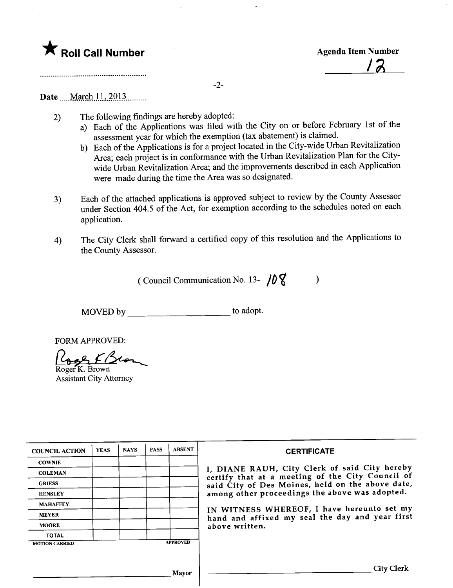

12

-2-

## Date <u>March 11, 2013</u> ........

- 2) The following findings are hereby adopted:
	- a) Each of the Applications was filed with the City on or before February 1st of the assessment year for which the exemption (tax abatement) is claimed.
	- b) Each of the Applications is for a project located in the City-wide Urban Revitalization Area; each project is in conformance with the Urban Revitalization Plan for the Citywide Urban Revitalization Area; and the improvements described in each Application were made during the time the Area was so designated.
- 3) Each of the attached applications is approved subject to review by the County Assessor under Section 404.5 of the Act, for exemption according to the schedules noted on each application.
- 4) The City Clerk shall forward a certified copy of this resolution and the Applications to the County Assessor.

(Council Communication No. 13-  $/0$   $\sqrt{\phantom{0}}$  )

MOVED by \_\_\_\_\_\_\_\_\_\_\_\_\_\_\_\_\_\_\_\_\_\_\_\_\_\_ to adopt.

FORM APPROVED:

Lack C/Sco Roger K. Brown

Assistant City Attorney

| <b>COUNCIL ACTION</b> | <b>YEAS</b> | <b>NAYS</b> | <b>PASS</b> | <b>ABSENT</b>   | <b>CERTIFICATE</b>                                                                                |
|-----------------------|-------------|-------------|-------------|-----------------|---------------------------------------------------------------------------------------------------|
| <b>COWNIE</b>         |             |             |             |                 |                                                                                                   |
| <b>COLEMAN</b>        |             |             |             |                 | I, DIANE RAUH, City Clerk of said City hereby<br>certify that at a meeting of the City Council of |
| <b>GRIESS</b>         |             |             |             |                 | said City of Des Moines, held on the above date,                                                  |
| <b>HENSLEY</b>        |             |             |             |                 | among other proceedings the above was adopted.                                                    |
| <b>MAHAFFEY</b>       |             |             |             |                 |                                                                                                   |
| <b>MEYER</b>          |             |             |             |                 | IN WITNESS WHEREOF, I have hereunto set my<br>hand and affixed my seal the day and year first     |
| <b>MOORE</b>          |             |             |             |                 | above written.                                                                                    |
| <b>TOTAL</b>          |             |             |             |                 |                                                                                                   |
| <b>MOTION CARRIED</b> |             |             |             | <b>APPROVED</b> |                                                                                                   |
|                       |             |             |             |                 |                                                                                                   |
|                       |             |             |             | Mayor           | City Clerk                                                                                        |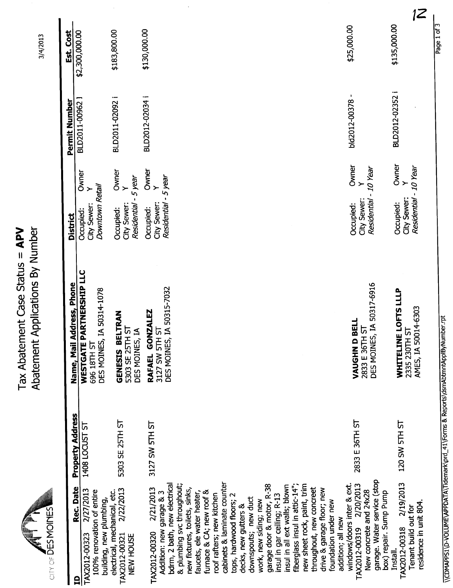|                                                                                |                           |                                                                                                      |                                                                                  |                                                                                        |                                                                                                                       |                                                                                      |                                              |                                                    |                                                             |                                |                                                         |                                                   |                                                 |                                                       |                                                       |                                              | 1Z                                             |             |
|--------------------------------------------------------------------------------|---------------------------|------------------------------------------------------------------------------------------------------|----------------------------------------------------------------------------------|----------------------------------------------------------------------------------------|-----------------------------------------------------------------------------------------------------------------------|--------------------------------------------------------------------------------------|----------------------------------------------|----------------------------------------------------|-------------------------------------------------------------|--------------------------------|---------------------------------------------------------|---------------------------------------------------|-------------------------------------------------|-------------------------------------------------------|-------------------------------------------------------|----------------------------------------------|------------------------------------------------|-------------|
| 3/4/2013                                                                       | Est. Cost                 | \$2,300,000.00                                                                                       | \$183,800.00                                                                     | \$130,000.00                                                                           |                                                                                                                       |                                                                                      |                                              |                                                    |                                                             |                                |                                                         |                                                   | \$25,000.00                                     |                                                       |                                                       | \$135,000.00                                 |                                                | Page 1 of 3 |
|                                                                                | Permit Number             | BLD2011-00962 J                                                                                      | BLD2011-02092 i                                                                  | BLD2012-02034 i                                                                        |                                                                                                                       |                                                                                      |                                              |                                                    |                                                             |                                |                                                         |                                                   |                                                 | ٠<br>bld2012-00378                                    |                                                       | BLD2012-02352                                |                                                |             |
|                                                                                | <b>District</b>           | Owner<br>Downtown Retail<br>$\left. \right.$<br>City Sewer:<br>Occupied:                             | Owner<br>Y<br>-5 year<br>City Sewer:<br>Residential<br>Occupied:                 | Owner<br>- 5 year<br>$\rightarrow$<br>Residential<br>City Sewer:<br>Occupied:          |                                                                                                                       |                                                                                      |                                              |                                                    |                                                             |                                |                                                         |                                                   |                                                 | Owner<br>$\left. \right.$<br>City Sewer:<br>Occupied: | Residential - 10 Year                                 | Owner<br>$\succ$<br>City Sewer:<br>Occupied: | - 10 Year<br>Residential                       |             |
| Applications By Number<br><b>LANDO PROPERTY AND ANGLE SERVING</b><br>Abatement | Name, Mail Address, Phone | WESTGATE PARTNERSHIP LLC<br>IA 50314-1078<br>DES MOINES,<br>696 18TH ST                              | <b>ELTRAN</b><br><u>რ</u><br>DES MOINES, IA<br><b>GENESIS BE</b><br>5303 SE 25TH | IA 50315-7032<br><b>NZALEZ</b><br>3127 SW 5TH ST<br>RAFAEL GOI<br>DES MOINES,          |                                                                                                                       |                                                                                      |                                              |                                                    |                                                             |                                |                                                         |                                                   |                                                 | BELL<br>5<br>2833 E 36TH<br>VAUGHN D                  | DES MOINES, IA 50317-6916                             | E LOFTS LLLP<br>WHITELINI                    | AMES, IA 50014-6303<br>2335 230TH ST           |             |
|                                                                                |                           | <b>Property Address</b><br>1408 LOCUST ST                                                            | 5303 SE 25TH ST                                                                  | 3127 SW 5TH ST                                                                         |                                                                                                                       |                                                                                      |                                              |                                                    |                                                             |                                |                                                         |                                                   |                                                 | 2833 E 36TH ST                                        |                                                       | 120 SW 5TH ST                                |                                                |             |
| SITY OF DES MOINES                                                             |                           | Rec. Date<br>2/27/2013<br>100% renovation of entire<br>building, new plumbing,<br>TAX2012-00323<br>q | 2/22/2013<br>electrical, mechanical, etc.<br>TAX2012-00321<br>NEW HOUSE          | bdrm, 2 bath, new electrical<br>2/21/2013<br>Addition: new garage & 3<br>TAX2012-00320 | & plumbing svc throughout;<br>new fixtures, toilets, sinks,<br>faucets, ele water heater,<br>furnace & CA; new roof & | cabinets & laminate counter<br>roof rafters; new kitchen<br>tops, hardwood floors; 2 | downspouts; new duct<br>decks, new gutters & | garage door & motor, R-38<br>work, new siding; new | insul in all ext walls; blown<br>insul in gar ceiling; R-13 | fiberglass insul in attic-14"; | new sheet rock, paint, trim<br>throughout, new concreet | drive & garage floor; new<br>foundation under new | windows/doors inter & ext.<br>addition; all new | 2/20/2013<br>New concrete and 24x28<br>TAX2012-00319  | garage. Water service (stop<br>box) repair. Sump Pump | 2/19/2013<br>TAX2012-00318<br>Install.       | residence in unit 804.<br>Tenant build out for |             |

 $\ddot{\phantom{0}}$ 

Tax Abatement Case Status =  $APV$ <br>Abatement Applications By Number nent Applications By Number Tax Abatement Case Status = APV

\\CDMAPPS1\D-VOLUME\APPDATA\Tidemark\prd\_41\Forms & Reports\dsmAbtmntApplByNumber.rpt  $\lambda = \frac{1}{2}$  , which are positive  $\lambda$  ,  $\lambda = 1$  ,  $\lambda = 1$  ,  $\lambda = 1$  ,  $\lambda = 1$  ,  $\lambda = 1$  ,  $\lambda = 1$  ,  $\lambda = 1$  ,  $\lambda = 1$  ,  $\lambda = 1$  ,  $\lambda = 1$  ,  $\lambda = 1$  ,  $\lambda = 1$  ,  $\lambda = 1$  ,  $\lambda = 1$  ,  $\lambda = 1$  ,  $\lambda = 1$  ,  $\lambda = 1$  ,  $\lambda = 1$  ,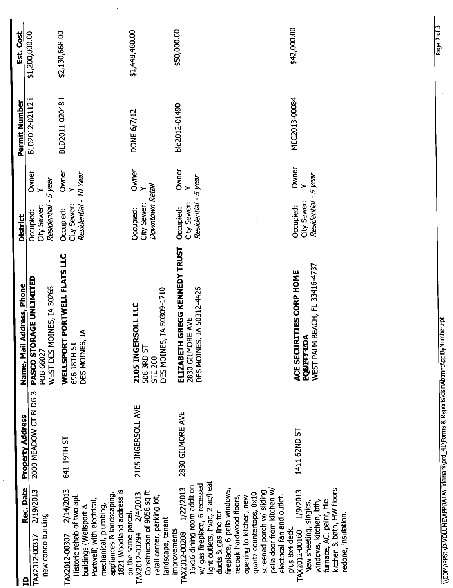| PASCO STORAGE UNLIMITED<br>Name, Mail Address, Phone<br>POB 66027<br>2000 MEADOW CT BLDG 3<br><b>Property Address</b> |  | City Sewer:<br>Occupied:<br><b>District</b>                               | Owner<br>$\rightarrow$ | BLD2012-02112<br>Permit Number | \$1,200,000.00<br>Est. Cost |
|-----------------------------------------------------------------------------------------------------------------------|--|---------------------------------------------------------------------------|------------------------|--------------------------------|-----------------------------|
| WELLSPORT PORTWELL FLATS LLC<br>WEST DES MOINES, IA 50265<br>DES MOINES, IA<br>5<br>696 18TH<br>641 19TH ST           |  | Residential - 10 Year<br>Residential - 5 year<br>City Sewer:<br>Occupied: | Owner<br>Y             | BLD2011-02048 i                | \$2,130,668.00              |
| DES MOINES, IA 50309-1710<br>2105 INGERSOLL LLC<br>506 3RD ST<br><b>STE 200</b><br>2105 INGERSOLL AVE                 |  | Downtown Retail<br>City Sewer:<br>Occupied:                               | Owner<br>$\geq$        | <b>DONE 6/7/12</b>             | \$1,448,480.00              |
| ELIZABETH GREGG KENNEDY TRUST<br>DES MOINES, IA 50312-4426<br>2830 GILMORE AVE<br>2830 GILMORE AVE                    |  | Residential - 5 year<br>City Sewer:<br>Occupied:                          | Owner<br>Y             | bld2012-01490-                 | \$50,000.00                 |
|                                                                                                                       |  |                                                                           |                        |                                |                             |
| WEST PALM BEACH, FL 33416-4737<br>ACE SECURITIES CORP HOME<br><b>EQUETTION</b><br>1411 62ND ST                        |  | Residential - 5 year<br>City Sewer:<br>Occupied:                          | Owner<br>$\geq$        | MEC2013-00084                  | \$42,000.00                 |

 $\frac{1}{4}$ 

 $\ddot{\phantom{0}}$ 

 $\hat{\boldsymbol{\beta}}$